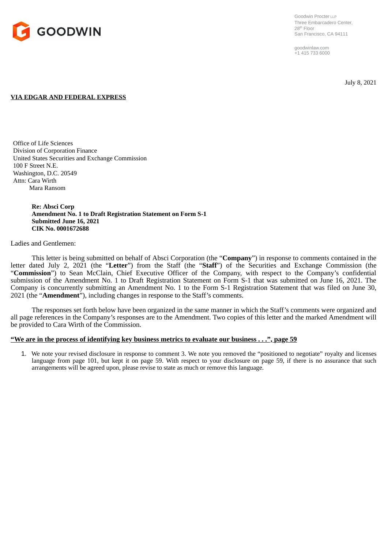

Goodwin Procter LLP Three Embarcadero Center, 28<sup>th</sup> Floor San Francisco, CA 94111

goodwinlaw.com +1 415 733 6000

July 8, 2021

## **VIA EDGAR AND FEDERAL EXPRESS**

Office of Life Sciences Division of Corporation Finance United States Securities and Exchange Commission 100 F Street N.E. Washington, D.C. 20549 Attn: Cara Wirth Mara Ransom

> **Re: Absci Corp Amendment No. 1 to Draft Registration Statement on Form S-1 Submitted June 16, 2021 CIK No. 0001672688**

## Ladies and Gentlemen:

This letter is being submitted on behalf of Absci Corporation (the "**Company**") in response to comments contained in the letter dated July 2, 2021 (the "**Letter**") from the Staff (the "**Staff**") of the Securities and Exchange Commission (the "Commission") to Sean McClain, Chief Executive Officer of the Company, with respect to the Company's confidential submission of the Amendment No. 1 to Draft Registration Statement on Form S-1 that was submitted on June 16, 2021. The Company is concurrently submitting an Amendment No. 1 to the Form S-1 Registration Statement that was filed on June 30, 2021 (the "**Amendment**"), including changes in response to the Staff's comments.

The responses set forth below have been organized in the same manner in which the Staff's comments were organized and all page references in the Company's responses are to the Amendment. Two copies of this letter and the marked Amendment will be provided to Cara Wirth of the Commission.

## **"We are in the process of identifying key business metrics to evaluate our business . . .", page 59**

1. We note your revised disclosure in response to comment 3. We note you removed the "positioned to negotiate" royalty and licenses language from page 101, but kept it on page 59. With respect to your disclosure on page 59, if there is no assurance that such arrangements will be agreed upon, please revise to state as much or remove this language.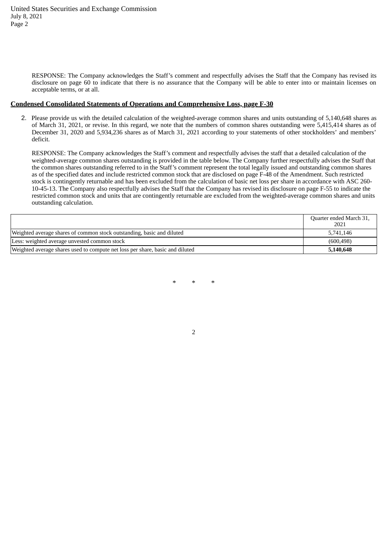RESPONSE: The Company acknowledges the Staff's comment and respectfully advises the Staff that the Company has revised its disclosure on page 60 to indicate that there is no assurance that the Company will be able to enter into or maintain licenses on acceptable terms, or at all.

## **Condensed Consolidated Statements of Operations and Comprehensive Loss, page F-30**

2. Please provide us with the detailed calculation of the weighted-average common shares and units outstanding of 5,140,648 shares as of March 31, 2021, or revise. In this regard, we note that the numbers of common shares outstanding were 5,415,414 shares as of December 31, 2020 and 5,934,236 shares as of March 31, 2021 according to your statements of other stockholders' and members' deficit.

RESPONSE: The Company acknowledges the Staff's comment and respectfully advises the staff that a detailed calculation of the weighted-average common shares outstanding is provided in the table below. The Company further respectfully advises the Staff that the common shares outstanding referred to in the Staff's comment represent the total legally issued and outstanding common shares as of the specified dates and include restricted common stock that are disclosed on page F-48 of the Amendment. Such restricted stock is contingently returnable and has been excluded from the calculation of basic net loss per share in accordance with ASC 260- 10-45-13. The Company also respectfully advises the Staff that the Company has revised its disclosure on page F-55 to indicate the restricted common stock and units that are contingently returnable are excluded from the weighted-average common shares and units outstanding calculation.

|                                                                               | Quarter ended March 31,<br>2021 |
|-------------------------------------------------------------------------------|---------------------------------|
| Weighted average shares of common stock outstanding, basic and diluted        | 5.741.146                       |
| Less: weighted average unvested common stock                                  | (600, 498)                      |
| Weighted average shares used to compute net loss per share, basic and diluted | 5,140,648                       |

\* \* \*

2